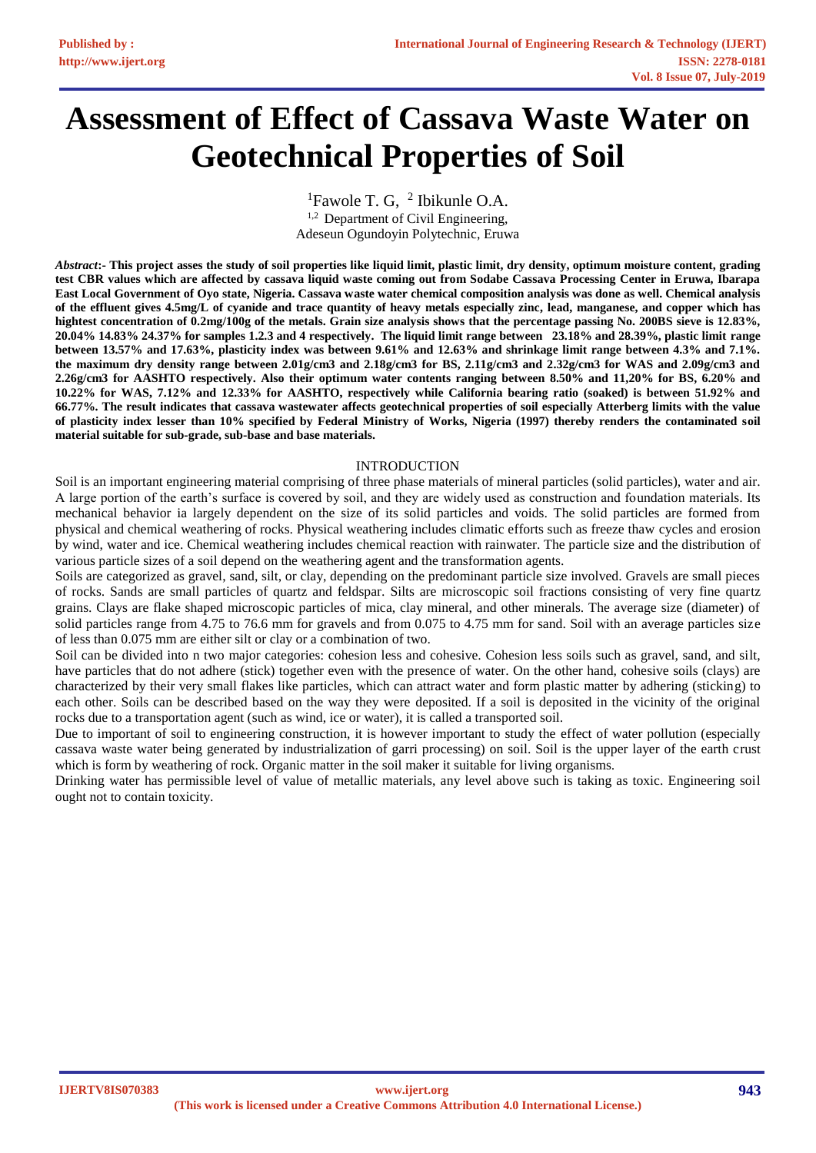# **Assessment of Effect of Cassava Waste Water on Geotechnical Properties of Soil**

<sup>1</sup>Fawole T. G,  $^2$  Ibikunle O.A.  $1,2$  Department of Civil Engineering, Adeseun Ogundoyin Polytechnic, Eruwa

*Abstract***:- This project asses the study of soil properties like liquid limit, plastic limit, dry density, optimum moisture content, grading test CBR values which are affected by cassava liquid waste coming out from Sodabe Cassava Processing Center in Eruwa, Ibarapa East Local Government of Oyo state, Nigeria. Cassava waste water chemical composition analysis was done as well. Chemical analysis of the effluent gives 4.5mg/L of cyanide and trace quantity of heavy metals especially zinc, lead, manganese, and copper which has hightest concentration of 0.2mg/100g of the metals. Grain size analysis shows that the percentage passing No. 200BS sieve is 12.83%, 20.04% 14.83% 24.37% for samples 1.2.3 and 4 respectively. The liquid limit range between 23.18% and 28.39%, plastic limit range between 13.57% and 17.63%, plasticity index was between 9.61% and 12.63% and shrinkage limit range between 4.3% and 7.1%. the maximum dry density range between 2.01g/cm3 and 2.18g/cm3 for BS, 2.11g/cm3 and 2.32g/cm3 for WAS and 2.09g/cm3 and 2.26g/cm3 for AASHTO respectively. Also their optimum water contents ranging between 8.50% and 11,20% for BS, 6.20% and 10.22% for WAS, 7.12% and 12.33% for AASHTO, respectively while California bearing ratio (soaked) is between 51.92% and 66.77%. The result indicates that cassava wastewater affects geotechnical properties of soil especially Atterberg limits with the value of plasticity index lesser than 10% specified by Federal Ministry of Works, Nigeria (1997) thereby renders the contaminated soil material suitable for sub-grade, sub-base and base materials.**

## INTRODUCTION

Soil is an important engineering material comprising of three phase materials of mineral particles (solid particles), water and air. A large portion of the earth's surface is covered by soil, and they are widely used as construction and foundation materials. Its mechanical behavior ia largely dependent on the size of its solid particles and voids. The solid particles are formed from physical and chemical weathering of rocks. Physical weathering includes climatic efforts such as freeze thaw cycles and erosion by wind, water and ice. Chemical weathering includes chemical reaction with rainwater. The particle size and the distribution of various particle sizes of a soil depend on the weathering agent and the transformation agents.

Soils are categorized as gravel, sand, silt, or clay, depending on the predominant particle size involved. Gravels are small pieces of rocks. Sands are small particles of quartz and feldspar. Silts are microscopic soil fractions consisting of very fine quartz grains. Clays are flake shaped microscopic particles of mica, clay mineral, and other minerals. The average size (diameter) of solid particles range from 4.75 to 76.6 mm for gravels and from 0.075 to 4.75 mm for sand. Soil with an average particles size of less than 0.075 mm are either silt or clay or a combination of two.

Soil can be divided into n two major categories: cohesion less and cohesive. Cohesion less soils such as gravel, sand, and silt, have particles that do not adhere (stick) together even with the presence of water. On the other hand, cohesive soils (clays) are characterized by their very small flakes like particles, which can attract water and form plastic matter by adhering (sticking) to each other. Soils can be described based on the way they were deposited. If a soil is deposited in the vicinity of the original rocks due to a transportation agent (such as wind, ice or water), it is called a transported soil.

Due to important of soil to engineering construction, it is however important to study the effect of water pollution (especially cassava waste water being generated by industrialization of garri processing) on soil. Soil is the upper layer of the earth crust which is form by weathering of rock. Organic matter in the soil maker it suitable for living organisms.

Drinking water has permissible level of value of metallic materials, any level above such is taking as toxic. Engineering soil ought not to contain toxicity.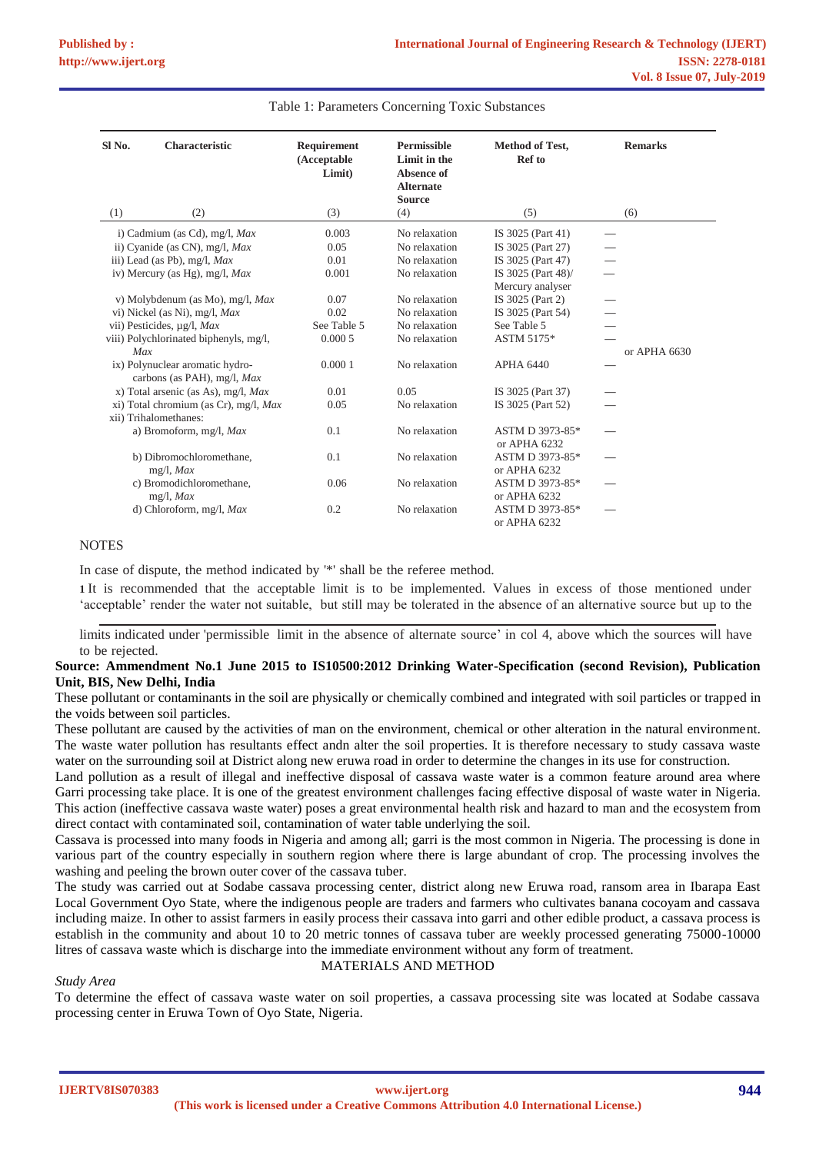| Sl No. | Characteristic                                                 | Requirement<br>(Acceptable<br>Limit) | <b>Permissible</b><br>Limit in the<br>Absence of<br><b>Alternate</b><br><b>Source</b> | <b>Method of Test,</b><br><b>Ref</b> to | <b>Remarks</b> |
|--------|----------------------------------------------------------------|--------------------------------------|---------------------------------------------------------------------------------------|-----------------------------------------|----------------|
| (1)    | (2)                                                            | (3)                                  | (4)                                                                                   | (5)                                     | (6)            |
|        | i) Cadmium (as Cd), mg/l, Max                                  | 0.003                                | No relaxation                                                                         | IS 3025 (Part 41)                       |                |
|        | ii) Cyanide (as CN), mg/l, Max                                 | 0.05                                 | No relaxation                                                                         | IS 3025 (Part 27)                       |                |
|        | iii) Lead (as Pb), mg/l, Max                                   | 0.01                                 | No relaxation                                                                         | IS 3025 (Part 47)                       |                |
|        | iv) Mercury (as Hg), mg/l, Max                                 | 0.001                                | No relaxation                                                                         | IS 3025 (Part 48)/                      |                |
|        |                                                                |                                      |                                                                                       | Mercury analyser                        |                |
|        | v) Molybdenum (as Mo), mg/l, Max                               | 0.07                                 | No relaxation                                                                         | IS 3025 (Part 2)                        |                |
|        | vi) Nickel (as Ni), mg/l, Max                                  | 0.02                                 | No relaxation                                                                         | IS 3025 (Part 54)                       |                |
|        | vii) Pesticides, µg/l, Max                                     | See Table 5                          | No relaxation                                                                         | See Table 5                             |                |
|        | viii) Polychlorinated biphenyls, mg/l,                         | 0.0005                               | No relaxation                                                                         | ASTM 5175*                              |                |
| Max    |                                                                |                                      |                                                                                       |                                         | or APHA 6630   |
|        | ix) Polynuclear aromatic hydro-<br>carbons (as PAH), mg/l, Max | 0.0001                               | No relaxation                                                                         | <b>APHA 6440</b>                        |                |
|        | x) Total arsenic (as As), mg/l, Max                            | 0.01                                 | 0.05                                                                                  | IS 3025 (Part 37)                       |                |
|        | xi) Total chromium (as Cr), mg/l, Max                          | 0.05                                 | No relaxation                                                                         | IS 3025 (Part 52)                       |                |
|        | xii) Trihalomethanes:                                          |                                      |                                                                                       |                                         |                |
|        | a) Bromoform, mg/l, Max                                        | 0.1                                  | No relaxation                                                                         | ASTM D 3973-85*                         |                |
|        |                                                                |                                      |                                                                                       | or APHA 6232                            |                |
|        | b) Dibromochloromethane,                                       | 0.1                                  | No relaxation                                                                         | ASTM D 3973-85*                         |                |
|        | $mg/l$ , <i>Max</i>                                            |                                      |                                                                                       | or APHA 6232                            |                |
|        | c) Bromodichloromethane,                                       | 0.06                                 | No relaxation                                                                         | ASTM D 3973-85*                         |                |
|        | $mg/l$ , <i>Max</i>                                            |                                      |                                                                                       | or APHA 6232                            |                |
|        | d) Chloroform, mg/l, $Max$                                     | 0.2                                  | No relaxation                                                                         | ASTM D 3973-85*<br>or APHA $6232$       |                |

#### Table 1: Parameters Concerning Toxic Substances

## **NOTES**

In case of dispute, the method indicated by '\*' shall be the referee method.

**1** It is recommended that the acceptable limit is to be implemented. Values in excess of those mentioned under 'acceptable' render the water not suitable, but still may be tolerated in the absence of an alternative source but up to the

limits indicated under 'permissible limit in the absence of alternate source' in col 4, above which the sources will have to be rejected.

### **Source: Ammendment No.1 June 2015 to IS10500:2012 Drinking Water-Specification (second Revision), Publication Unit, BIS, New Delhi, India**

These pollutant or contaminants in the soil are physically or chemically combined and integrated with soil particles or trapped in the voids between soil particles.

These pollutant are caused by the activities of man on the environment, chemical or other alteration in the natural environment. The waste water pollution has resultants effect andn alter the soil properties. It is therefore necessary to study cassava waste water on the surrounding soil at District along new eruwa road in order to determine the changes in its use for construction.

Land pollution as a result of illegal and ineffective disposal of cassava waste water is a common feature around area where Garri processing take place. It is one of the greatest environment challenges facing effective disposal of waste water in Nigeria. This action (ineffective cassava waste water) poses a great environmental health risk and hazard to man and the ecosystem from direct contact with contaminated soil, contamination of water table underlying the soil.

Cassava is processed into many foods in Nigeria and among all; garri is the most common in Nigeria. The processing is done in various part of the country especially in southern region where there is large abundant of crop. The processing involves the washing and peeling the brown outer cover of the cassava tuber.

The study was carried out at Sodabe cassava processing center, district along new Eruwa road, ransom area in Ibarapa East Local Government Oyo State, where the indigenous people are traders and farmers who cultivates banana cocoyam and cassava including maize. In other to assist farmers in easily process their cassava into garri and other edible product, a cassava process is establish in the community and about 10 to 20 metric tonnes of cassava tuber are weekly processed generating 75000-10000 litres of cassava waste which is discharge into the immediate environment without any form of treatment.

#### *Study Area*

## MATERIALS AND METHOD

To determine the effect of cassava waste water on soil properties, a cassava processing site was located at Sodabe cassava processing center in Eruwa Town of Oyo State, Nigeria.

**IJERTV8IS070383**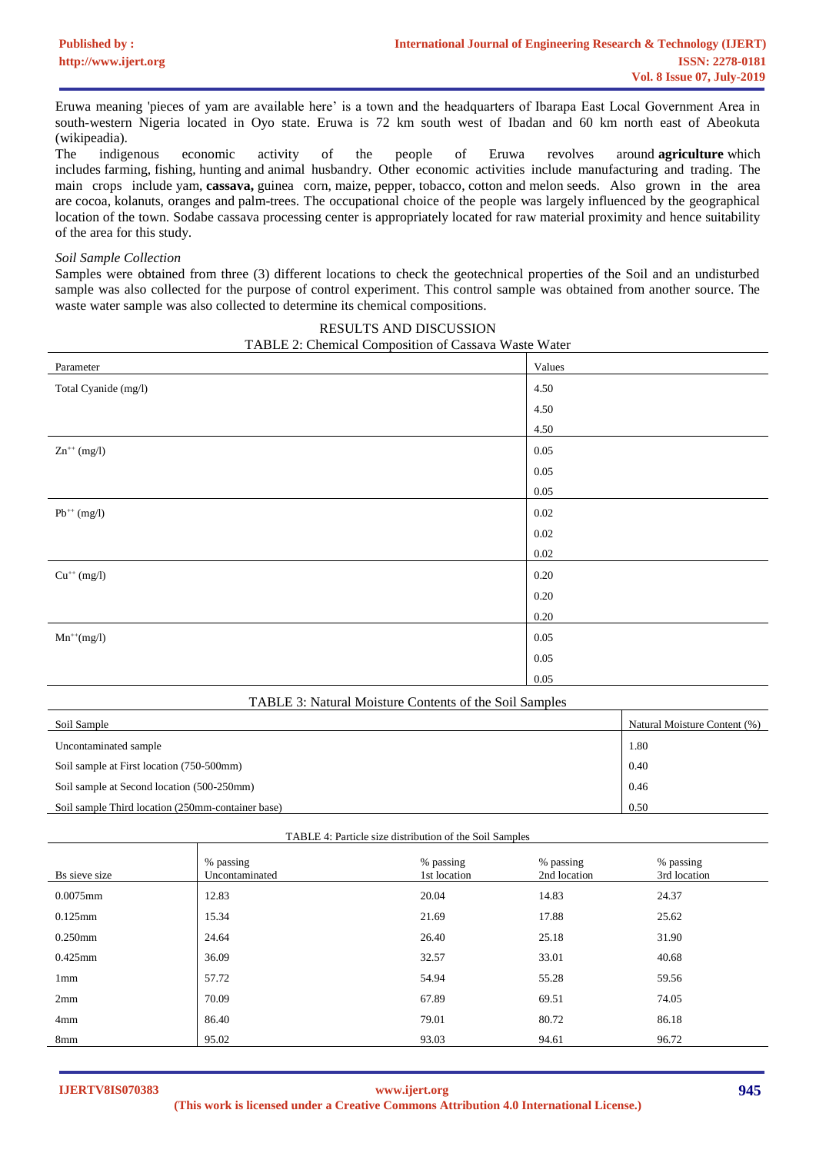Eruwa meaning 'pieces of yam are available here' is a town and the headquarters of Ibarapa East Local Government Area in south-western Nigeria located in Oyo state. Eruwa is 72 km south west of Ibadan and 60 km north east of Abeokuta (wikipeadia).

The indigenous economic activity of the people of Eruwa revolves around **[agriculture](https://en.wikipedia.org/wiki/Agriculture)** which includes [farming,](https://en.wikipedia.org/wiki/Farming) [fishing,](https://en.wikipedia.org/wiki/Fishing) [hunting](https://en.wikipedia.org/wiki/Hunting) and [animal husbandry.](https://en.wikipedia.org/wiki/Animal_husbandry) Other economic activities include manufacturing and trading. The main crops include [yam,](https://en.wikipedia.org/wiki/Yam_(vegetable)) **[cassava,](https://en.wikipedia.org/wiki/Cassava)** [guinea corn,](https://en.wikipedia.org/wiki/Guinea_corn) [maize,](https://en.wikipedia.org/wiki/Maize) [pepper,](https://en.wikipedia.org/wiki/Black_pepper) [tobacco,](https://en.wikipedia.org/wiki/Tobacco) [cotton](https://en.wikipedia.org/wiki/Cotton) and [melon](https://en.wikipedia.org/wiki/Melon) seeds. Also grown in the area are [cocoa,](https://en.wikipedia.org/wiki/Cocoa_bean) [kolanuts,](https://en.wikipedia.org/w/index.php?title=Kolanuts&action=edit&redlink=1) oranges and [palm-trees.](https://en.wikipedia.org/w/index.php?title=Palm-trees&action=edit&redlink=1) The occupational choice of the people was largely influenced by the geographical location of the town. Sodabe cassava processing center is appropriately located for raw material proximity and hence suitability of the area for this study.

#### *Soil Sample Collection*

Samples were obtained from three (3) different locations to check the geotechnical properties of the Soil and an undisturbed sample was also collected for the purpose of control experiment. This control sample was obtained from another source. The waste water sample was also collected to determine its chemical compositions.

| 17 hold 2. Chemical Composition of Cassava waste water |          |  |  |  |  |  |
|--------------------------------------------------------|----------|--|--|--|--|--|
| Parameter                                              | Values   |  |  |  |  |  |
| Total Cyanide (mg/l)                                   | 4.50     |  |  |  |  |  |
|                                                        | 4.50     |  |  |  |  |  |
|                                                        | 4.50     |  |  |  |  |  |
| $Zn^{++}$ (mg/l)                                       | $0.05\,$ |  |  |  |  |  |
|                                                        | $0.05\,$ |  |  |  |  |  |
|                                                        | 0.05     |  |  |  |  |  |
| $Pb^{++}$ (mg/l)                                       | $0.02\,$ |  |  |  |  |  |
|                                                        | $0.02\,$ |  |  |  |  |  |
|                                                        | $0.02\,$ |  |  |  |  |  |
| $Cu^{++}$ (mg/l)                                       | $0.20\,$ |  |  |  |  |  |
|                                                        | 0.20     |  |  |  |  |  |
|                                                        | $0.20\,$ |  |  |  |  |  |
| $Mn^{++}(mg/l)$                                        | $0.05\,$ |  |  |  |  |  |
|                                                        | $0.05\,$ |  |  |  |  |  |
|                                                        | $0.05\,$ |  |  |  |  |  |

| RESULTS AND DISCUSSION                               |  |
|------------------------------------------------------|--|
| TABLE 2: Chemical Composition of Cassava Waste Water |  |

| TABLE 3: Natural Moisture Contents of the Soil Samples |                              |  |  |  |  |
|--------------------------------------------------------|------------------------------|--|--|--|--|
| Soil Sample                                            | Natural Moisture Content (%) |  |  |  |  |
| Uncontaminated sample                                  | 1.80                         |  |  |  |  |
| Soil sample at First location (750-500mm)              | 0.40                         |  |  |  |  |
| Soil sample at Second location (500-250mm)             | 0.46                         |  |  |  |  |
| Soil sample Third location (250mm-container base)      | 0.50                         |  |  |  |  |

| % passing      | % passing    | % passing    |
|----------------|--------------|--------------|
| Uncontaminated | 1st location | 2nd location |
| .              | ----         | .            |

TABLE 4: Particle size distribution of the Soil Samples

| Bs sieve size | % passing<br>Uncontaminated | % passing<br>1st location | % passing<br>2nd location | % passing<br>3rd location |
|---------------|-----------------------------|---------------------------|---------------------------|---------------------------|
| 0.0075mm      | 12.83                       | 20.04                     | 14.83                     | 24.37                     |
| $0.125$ mm    | 15.34                       | 21.69                     | 17.88                     | 25.62                     |
| 0.250mm       | 24.64                       | 26.40                     | 25.18                     | 31.90                     |
| 0.425mm       | 36.09                       | 32.57                     | 33.01                     | 40.68                     |
| 1mm           | 57.72                       | 54.94                     | 55.28                     | 59.56                     |
| 2mm           | 70.09                       | 67.89                     | 69.51                     | 74.05                     |
| 4mm           | 86.40                       | 79.01                     | 80.72                     | 86.18                     |
| 8mm           | 95.02                       | 93.03                     | 94.61                     | 96.72                     |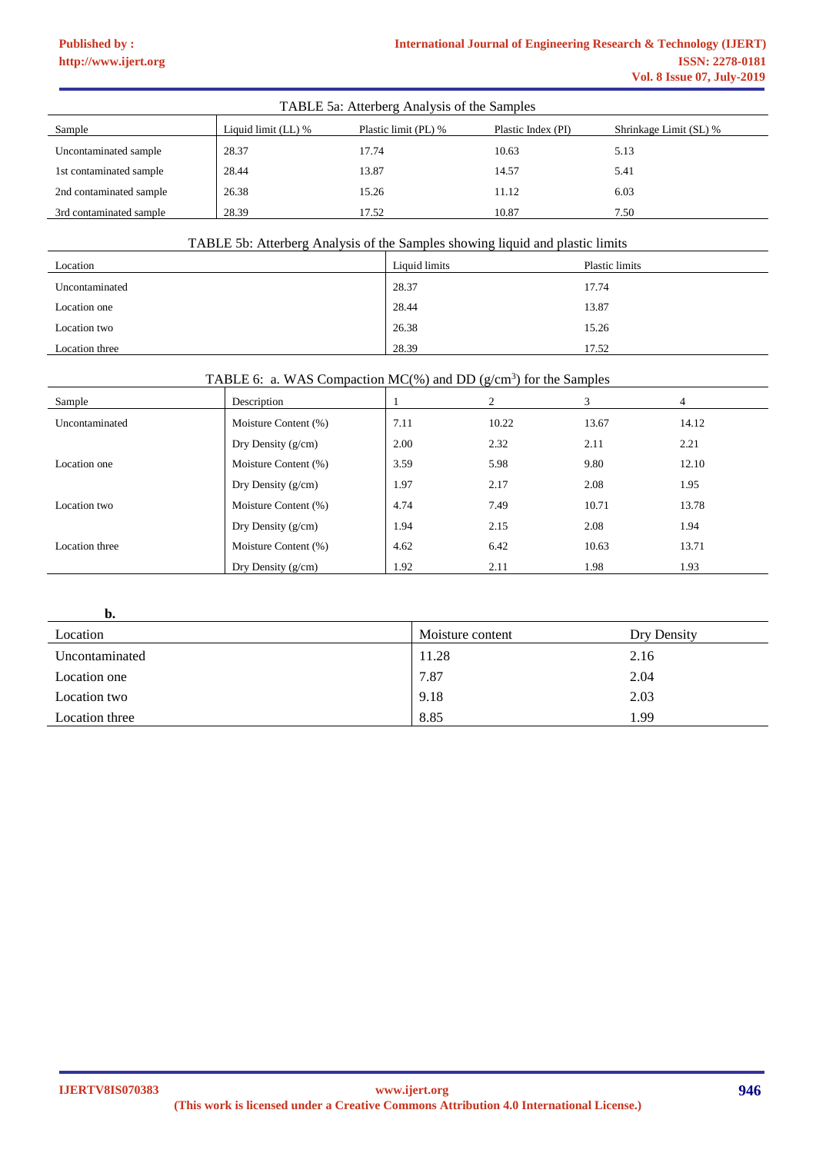# **[Published by :](www.ijert.org)**

| TABLE 5a: Atterberg Analysis of the Samples |                                                                                             |       |       |      |  |  |  |  |
|---------------------------------------------|---------------------------------------------------------------------------------------------|-------|-------|------|--|--|--|--|
| Sample                                      | Liquid limit (LL) %<br>Plastic limit (PL) %<br>Plastic Index (PI)<br>Shrinkage Limit (SL) % |       |       |      |  |  |  |  |
| Uncontaminated sample                       | 28.37                                                                                       | 17.74 | 10.63 | 5.13 |  |  |  |  |
| 1st contaminated sample                     | 28.44                                                                                       | 13.87 | 14.57 | 5.41 |  |  |  |  |
| 2nd contaminated sample                     | 26.38                                                                                       | 15.26 | 11.12 | 6.03 |  |  |  |  |
| 3rd contaminated sample                     | 28.39                                                                                       | 17.52 | 10.87 | 7.50 |  |  |  |  |

# TABLE 5b: Atterberg Analysis of the Samples showing liquid and plastic limits

| Location       | Liquid limits | Plastic limits |
|----------------|---------------|----------------|
| Uncontaminated | 28.37         | 17.74          |
| Location one   | 28.44         | 13.87          |
| Location two   | 26.38         | 15.26          |
| Location three | 28.39         | 17.52          |

## TABLE 6: a. WAS Compaction MC(%) and DD ( $g/cm<sup>3</sup>$ ) for the Samples

| Sample         | Description          |      | 2     | 3     | 4     |
|----------------|----------------------|------|-------|-------|-------|
| Uncontaminated | Moisture Content (%) | 7.11 | 10.22 | 13.67 | 14.12 |
|                | Dry Density $(g/cm)$ | 2.00 | 2.32  | 2.11  | 2.21  |
| Location one   | Moisture Content (%) | 3.59 | 5.98  | 9.80  | 12.10 |
|                | Dry Density $(g/cm)$ | 1.97 | 2.17  | 2.08  | 1.95  |
| Location two   | Moisture Content (%) | 4.74 | 7.49  | 10.71 | 13.78 |
|                | Dry Density $(g/cm)$ | 1.94 | 2.15  | 2.08  | 1.94  |
| Location three | Moisture Content (%) | 4.62 | 6.42  | 10.63 | 13.71 |
|                | Dry Density $(g/cm)$ | 1.92 | 2.11  | 1.98  | 1.93  |

**b.** 

| Location       | Moisture content | Dry Density |
|----------------|------------------|-------------|
| Uncontaminated | 11.28            | 2.16        |
| Location one   | 7.87             | 2.04        |
| Location two   | 9.18             | 2.03        |
| Location three | 8.85             | .99         |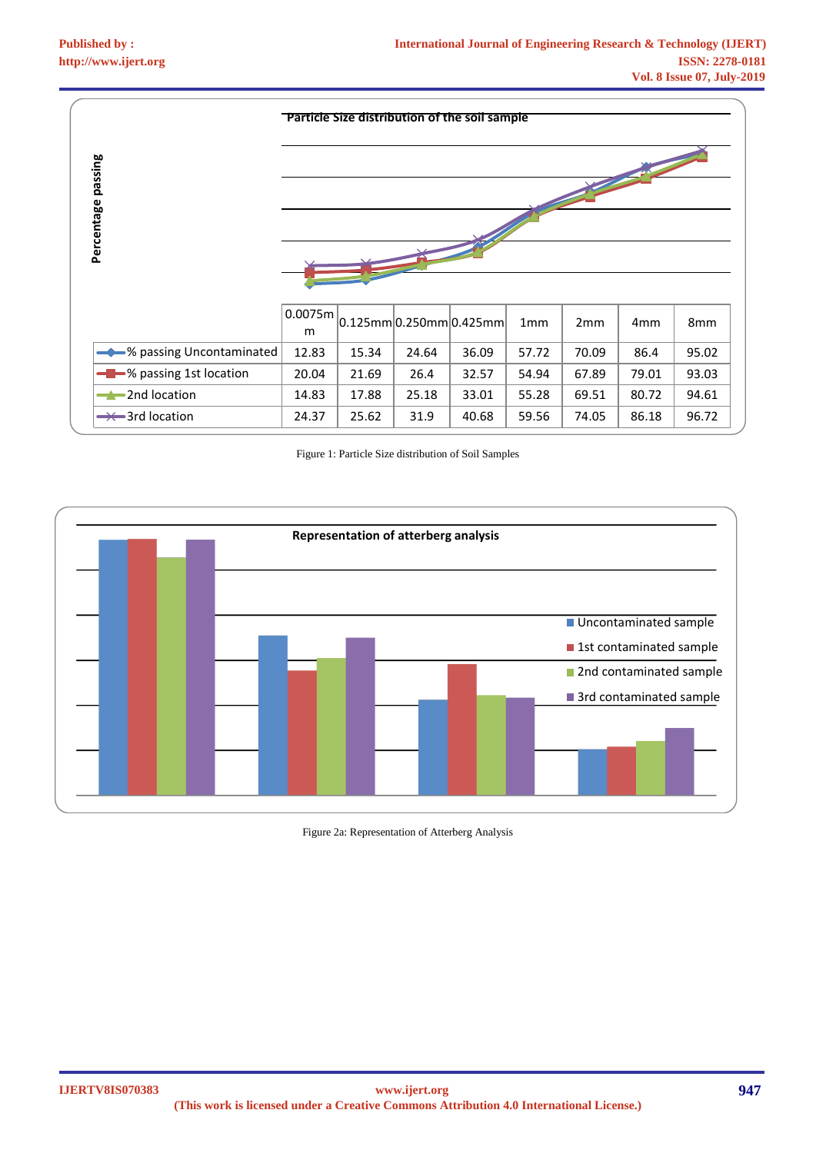|                            | <b>Particle Size distribution of the soil sample</b> |       |       |                                         |       |       |                 |       |
|----------------------------|------------------------------------------------------|-------|-------|-----------------------------------------|-------|-------|-----------------|-------|
| Percentage passing         |                                                      |       |       |                                         |       |       |                 |       |
|                            | 0.0075m<br>m                                         |       |       | $ 0.125$ mm $ 0.250$ mm $ 0.425$ mm $ $ | 1mm   | 2mm   | 4 <sub>mm</sub> | 8mm   |
| → % passing Uncontaminated | 12.83                                                | 15.34 | 24.64 | 36.09                                   | 57.72 | 70.09 | 86.4            | 95.02 |
| - % passing 1st location   | 20.04                                                | 21.69 | 26.4  | 32.57                                   | 54.94 | 67.89 | 79.01           | 93.03 |
| $\rightarrow$ 2nd location | 14.83                                                | 17.88 | 25.18 | 33.01                                   | 55.28 | 69.51 | 80.72           | 94.61 |
| $\rightarrow$ 3rd location | 24.37                                                | 25.62 | 31.9  | 40.68                                   | 59.56 | 74.05 | 86.18           | 96.72 |

Figure 1: Particle Size distribution of Soil Samples



Figure 2a: Representation of Atterberg Analysis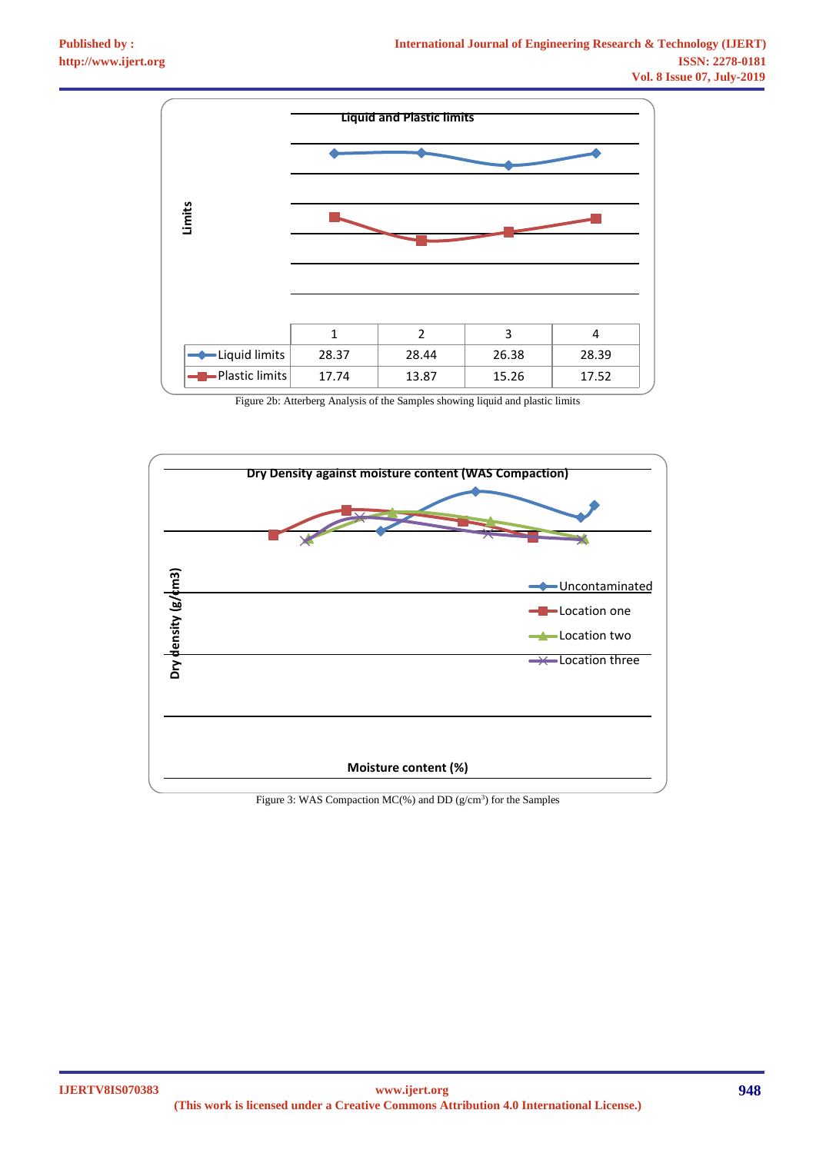

Figure 2b: Atterberg Analysis of the Samples showing liquid and plastic limits



Figure 3: WAS Compaction  $MC$ (%) and DD ( $g/cm<sup>3</sup>$ ) for the Samples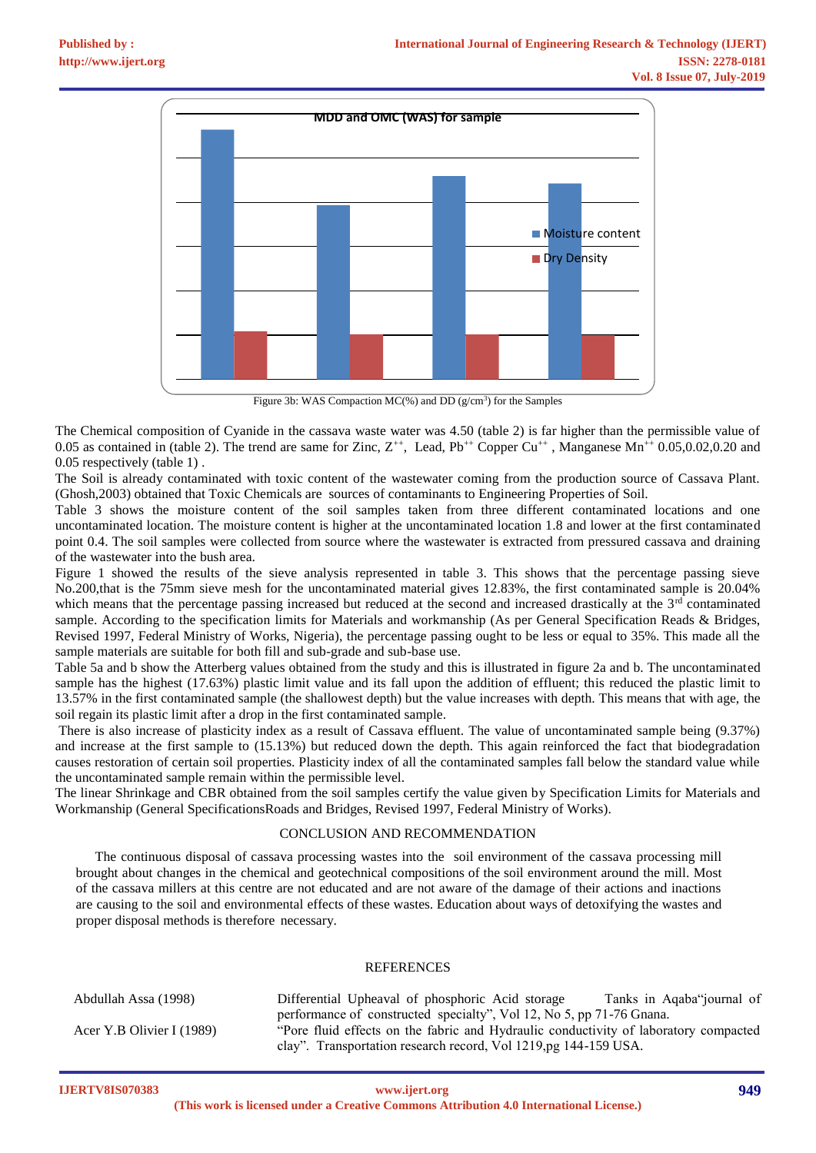

Figure 3b: WAS Compaction  $MC$ <sup>(%)</sup>) and DD ( $g/cm<sup>3</sup>$ ) for the Samples

The Chemical composition of Cyanide in the cassava waste water was 4.50 (table 2) is far higher than the permissible value of 0.05 as contained in (table 2). The trend are same for Zinc,  $Z^{++}$ , Lead,  $Pb^{++}$  Copper Cu<sup>++</sup>, Manganese Mn<sup>++</sup> 0.05,0.02,0.20 and 0.05 respectively (table 1) .

The Soil is already contaminated with toxic content of the wastewater coming from the production source of Cassava Plant. (Ghosh,2003) obtained that Toxic Chemicals are sources of contaminants to Engineering Properties of Soil.

Table 3 shows the moisture content of the soil samples taken from three different contaminated locations and one uncontaminated location. The moisture content is higher at the uncontaminated location 1.8 and lower at the first contaminated point 0.4. The soil samples were collected from source where the wastewater is extracted from pressured cassava and draining of the wastewater into the bush area.

Figure 1 showed the results of the sieve analysis represented in table 3. This shows that the percentage passing sieve No.200,that is the 75mm sieve mesh for the uncontaminated material gives 12.83%, the first contaminated sample is 20.04% which means that the percentage passing increased but reduced at the second and increased drastically at the 3<sup>rd</sup> contaminated sample. According to the specification limits for Materials and workmanship (As per General Specification Reads & Bridges, Revised 1997, Federal Ministry of Works, Nigeria), the percentage passing ought to be less or equal to 35%. This made all the sample materials are suitable for both fill and sub-grade and sub-base use.

Table 5a and b show the Atterberg values obtained from the study and this is illustrated in figure 2a and b. The uncontaminated sample has the highest (17.63%) plastic limit value and its fall upon the addition of effluent; this reduced the plastic limit to 13.57% in the first contaminated sample (the shallowest depth) but the value increases with depth. This means that with age, the soil regain its plastic limit after a drop in the first contaminated sample.

There is also increase of plasticity index as a result of Cassava effluent. The value of uncontaminated sample being (9.37%) and increase at the first sample to (15.13%) but reduced down the depth. This again reinforced the fact that biodegradation causes restoration of certain soil properties. Plasticity index of all the contaminated samples fall below the standard value while the uncontaminated sample remain within the permissible level.

The linear Shrinkage and CBR obtained from the soil samples certify the value given by Specification Limits for Materials and Workmanship (General SpecificationsRoads and Bridges, Revised 1997, Federal Ministry of Works).

#### CONCLUSION AND RECOMMENDATION

The continuous disposal of cassava processing wastes into the soil environment of the cassava processing mill brought about changes in the chemical and geotechnical compositions of the soil environment around the mill. Most of the cassava millers at this centre are not educated and are not aware of the damage of their actions and inactions are causing to the soil and environmental effects of these wastes. Education about ways of detoxifying the wastes and proper disposal methods is therefore necessary.

#### REFERENCES

| Abdullah Assa (1998)      | Differential Upheaval of phosphoric Acid storage                                     | Tanks in Aqaba"journal of |
|---------------------------|--------------------------------------------------------------------------------------|---------------------------|
|                           | performance of constructed specialty", Vol 12, No 5, pp 71-76 Gnana.                 |                           |
| Acer Y.B Olivier I (1989) | "Pore fluid effects on the fabric and Hydraulic conductivity of laboratory compacted |                           |
|                           | clay". Transportation research record, Vol 1219, pg 144-159 USA.                     |                           |

**IJERTV8IS070383**